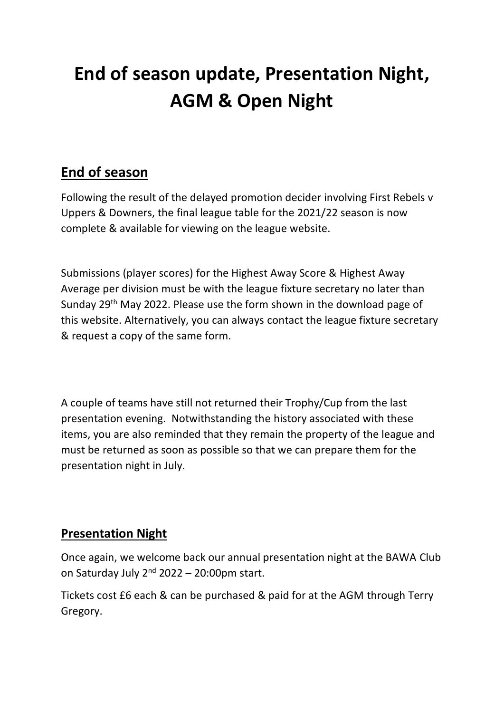# **End of season update, Presentation Night, AGM & Open Night**

## **End of season**

Following the result of the delayed promotion decider involving First Rebels v Uppers & Downers, the final league table for the 2021/22 season is now complete & available for viewing on the league website.

Submissions (player scores) for the Highest Away Score & Highest Away Average per division must be with the league fixture secretary no later than Sunday 29th May 2022. Please use the form shown in the download page of this website. Alternatively, you can always contact the league fixture secretary & request a copy of the same form.

A couple of teams have still not returned their Trophy/Cup from the last presentation evening. Notwithstanding the history associated with these items, you are also reminded that they remain the property of the league and must be returned as soon as possible so that we can prepare them for the presentation night in July.

### **Presentation Night**

Once again, we welcome back our annual presentation night at the BAWA Club on Saturday July  $2^{nd}$  2022 – 20:00pm start.

Tickets cost £6 each & can be purchased & paid for at the AGM through Terry Gregory.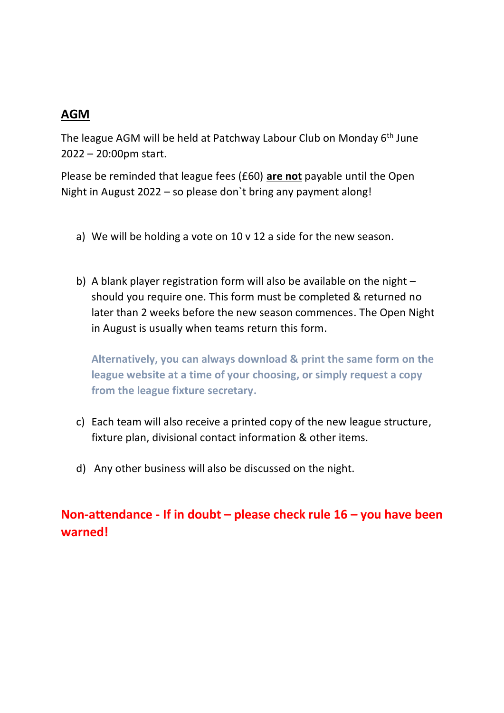### **AGM**

The league AGM will be held at Patchway Labour Club on Monday 6<sup>th</sup> June 2022 – 20:00pm start.

Please be reminded that league fees (£60) **are not** payable until the Open Night in August 2022 – so please don`t bring any payment along!

- a) We will be holding a vote on 10 v 12 a side for the new season.
- b) A blank player registration form will also be available on the night should you require one. This form must be completed & returned no later than 2 weeks before the new season commences. The Open Night in August is usually when teams return this form.

**Alternatively, you can always download & print the same form on the league website at a time of your choosing, or simply request a copy from the league fixture secretary.**

- c) Each team will also receive a printed copy of the new league structure, fixture plan, divisional contact information & other items.
- d) Any other business will also be discussed on the night.

**Non-attendance - If in doubt – please check rule 16 – you have been warned!**